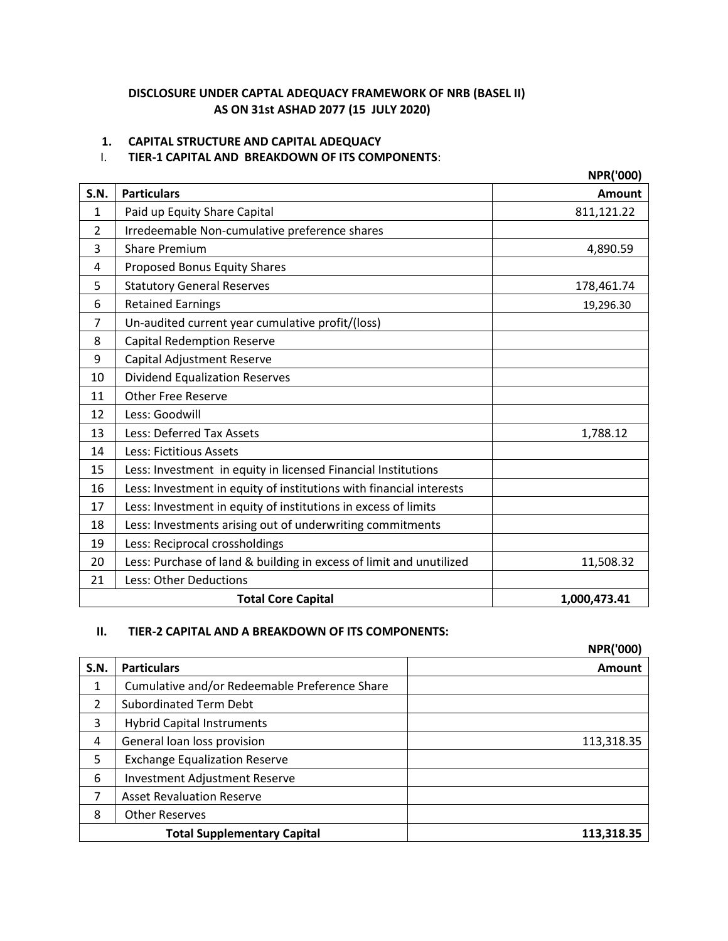## **DISCLOSURE UNDER CAPTAL ADEQUACY FRAMEWORK OF NRB (BASEL II) AS ON 31st ASHAD 2077 (15 JULY 2020)**

### **1. CAPITAL STRUCTURE AND CAPITAL ADEQUACY**

### I. **TIER-1 CAPITAL AND BREAKDOWN OF ITS COMPONENTS**:

|                |                                                                     | <b>NPR('000)</b> |
|----------------|---------------------------------------------------------------------|------------------|
| S.N.           | <b>Particulars</b>                                                  | <b>Amount</b>    |
| 1              | Paid up Equity Share Capital                                        | 811,121.22       |
| $\overline{2}$ | Irredeemable Non-cumulative preference shares                       |                  |
| 3              | <b>Share Premium</b>                                                | 4,890.59         |
| 4              | Proposed Bonus Equity Shares                                        |                  |
| 5              | <b>Statutory General Reserves</b>                                   | 178,461.74       |
| 6              | <b>Retained Earnings</b>                                            | 19,296.30        |
| $\overline{7}$ | Un-audited current year cumulative profit/(loss)                    |                  |
| 8              | <b>Capital Redemption Reserve</b>                                   |                  |
| 9              | Capital Adjustment Reserve                                          |                  |
| 10             | <b>Dividend Equalization Reserves</b>                               |                  |
| 11             | <b>Other Free Reserve</b>                                           |                  |
| 12             | Less: Goodwill                                                      |                  |
| 13             | Less: Deferred Tax Assets                                           | 1,788.12         |
| 14             | <b>Less: Fictitious Assets</b>                                      |                  |
| 15             | Less: Investment in equity in licensed Financial Institutions       |                  |
| 16             | Less: Investment in equity of institutions with financial interests |                  |
| 17             | Less: Investment in equity of institutions in excess of limits      |                  |
| 18             | Less: Investments arising out of underwriting commitments           |                  |
| 19             | Less: Reciprocal crossholdings                                      |                  |
| 20             | Less: Purchase of land & building in excess of limit and unutilized | 11,508.32        |
| 21             | Less: Other Deductions                                              |                  |
|                | <b>Total Core Capital</b>                                           | 1,000,473.41     |

### **II. TIER-2 CAPITAL AND A BREAKDOWN OF ITS COMPONENTS:**

**NPR('000)**

| <b>S.N.</b> | <b>Particulars</b>                            | Amount     |
|-------------|-----------------------------------------------|------------|
| 1           | Cumulative and/or Redeemable Preference Share |            |
| 2           | <b>Subordinated Term Debt</b>                 |            |
| 3           | <b>Hybrid Capital Instruments</b>             |            |
| 4           | General loan loss provision                   | 113,318.35 |
| 5           | <b>Exchange Equalization Reserve</b>          |            |
| 6           | <b>Investment Adjustment Reserve</b>          |            |
| 7           | <b>Asset Revaluation Reserve</b>              |            |
| 8           | <b>Other Reserves</b>                         |            |
|             | <b>Total Supplementary Capital</b>            | 113,318.35 |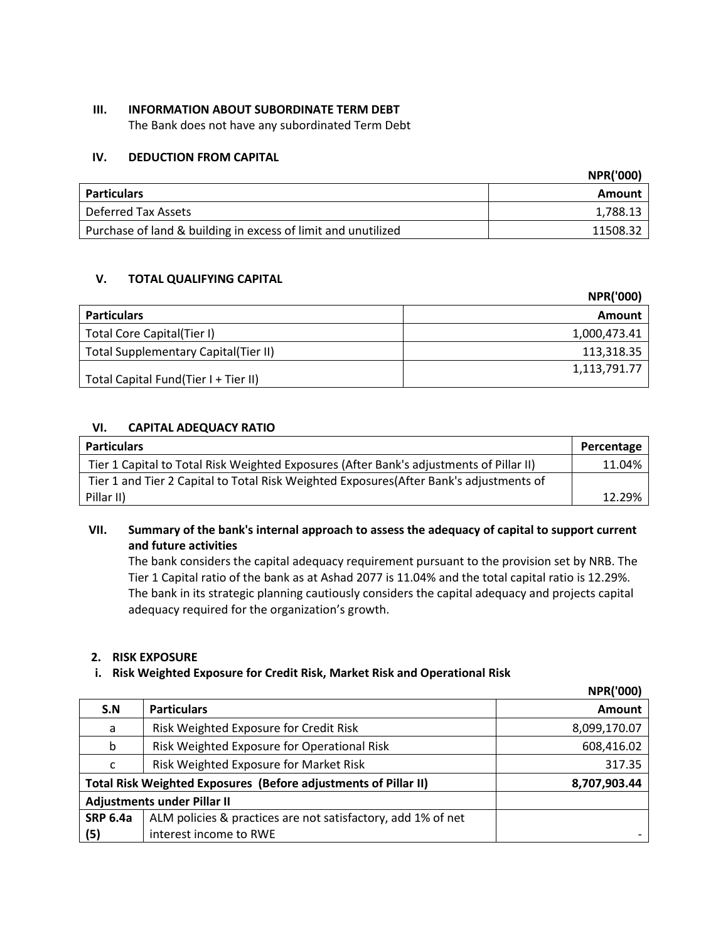### **III. INFORMATION ABOUT SUBORDINATE TERM DEBT**

The Bank does not have any subordinated Term Debt

## **IV. DEDUCTION FROM CAPITAL**

|                                                               | <b>NPR('000)</b> |
|---------------------------------------------------------------|------------------|
| <b>Particulars</b>                                            | Amount           |
| Deferred Tax Assets                                           | 1,788.13         |
| Purchase of land & building in excess of limit and unutilized | 11508.32         |

## **V. TOTAL QUALIFYING CAPITAL**

|                                      | <b>NPR('000)</b> |
|--------------------------------------|------------------|
| <b>Particulars</b>                   | <b>Amount</b>    |
| Total Core Capital(Tier I)           | 1,000,473.41     |
| Total Supplementary Capital(Tier II) | 113,318.35       |
| Total Capital Fund(Tier I + Tier II) | 1,113,791.77     |

## **VI. CAPITAL ADEQUACY RATIO**

| <b>Particulars</b>                                                                      | Percentage |
|-----------------------------------------------------------------------------------------|------------|
| Tier 1 Capital to Total Risk Weighted Exposures (After Bank's adjustments of Pillar II) | 11.04%     |
| Tier 1 and Tier 2 Capital to Total Risk Weighted Exposures (After Bank's adjustments of |            |
| Pillar II)                                                                              | 12.29%     |

**VII. Summary of the bank's internal approach to assess the adequacy of capital to support current and future activities**

The bank considers the capital adequacy requirement pursuant to the provision set by NRB. The Tier 1 Capital ratio of the bank as at Ashad 2077 is 11.04% and the total capital ratio is 12.29%. The bank in its strategic planning cautiously considers the capital adequacy and projects capital adequacy required for the organization's growth.

### **2. RISK EXPOSURE**

### **i. Risk Weighted Exposure for Credit Risk, Market Risk and Operational Risk**

|                 |                                                                 | <b>NPR('000)</b> |
|-----------------|-----------------------------------------------------------------|------------------|
| S.N             | <b>Particulars</b>                                              | <b>Amount</b>    |
| a               | Risk Weighted Exposure for Credit Risk                          | 8,099,170.07     |
| b               | Risk Weighted Exposure for Operational Risk                     | 608,416.02       |
| с               | Risk Weighted Exposure for Market Risk                          | 317.35           |
|                 | Total Risk Weighted Exposures (Before adjustments of Pillar II) | 8,707,903.44     |
|                 | <b>Adjustments under Pillar II</b>                              |                  |
| <b>SRP 6.4a</b> | ALM policies & practices are not satisfactory, add 1% of net    |                  |
| (5)             | interest income to RWE                                          |                  |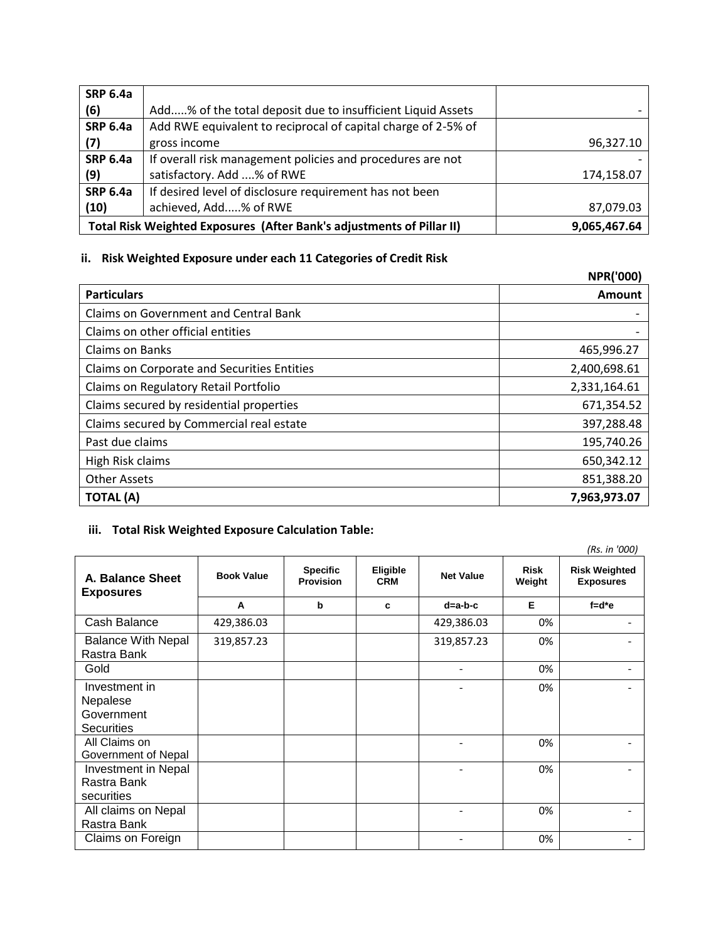| <b>SRP 6.4a</b> |                                                                       |              |
|-----------------|-----------------------------------------------------------------------|--------------|
| (6)             | Add% of the total deposit due to insufficient Liquid Assets           |              |
| <b>SRP 6.4a</b> | Add RWE equivalent to reciprocal of capital charge of 2-5% of         |              |
| (7)             | gross income                                                          | 96,327.10    |
| <b>SRP 6.4a</b> | If overall risk management policies and procedures are not            |              |
| (9)             | satisfactory. Add % of RWE                                            | 174,158.07   |
| <b>SRP 6.4a</b> | If desired level of disclosure requirement has not been               |              |
| (10)            | achieved, Add% of RWE                                                 | 87,079.03    |
|                 | Total Risk Weighted Exposures (After Bank's adjustments of Pillar II) | 9,065,467.64 |

# **ii. Risk Weighted Exposure under each 11 Categories of Credit Risk**

|                                              | <b>NPR('000)</b> |
|----------------------------------------------|------------------|
| <b>Particulars</b>                           | Amount           |
| <b>Claims on Government and Central Bank</b> |                  |
| Claims on other official entities            |                  |
| Claims on Banks                              | 465,996.27       |
| Claims on Corporate and Securities Entities  | 2,400,698.61     |
| Claims on Regulatory Retail Portfolio        | 2,331,164.61     |
| Claims secured by residential properties     | 671,354.52       |
| Claims secured by Commercial real estate     | 397,288.48       |
| Past due claims                              | 195,740.26       |
| High Risk claims                             | 650,342.12       |
| <b>Other Assets</b>                          | 851,388.20       |
| <b>TOTAL (A)</b>                             | 7,963,973.07     |

# **iii. Total Risk Weighted Exposure Calculation Table:**

|                                                              |                   |                                     |                               |                  |                       | (Rs. in '000)                            |
|--------------------------------------------------------------|-------------------|-------------------------------------|-------------------------------|------------------|-----------------------|------------------------------------------|
| A. Balance Sheet<br><b>Exposures</b>                         | <b>Book Value</b> | <b>Specific</b><br><b>Provision</b> | <b>Eligible</b><br><b>CRM</b> | <b>Net Value</b> | <b>Risk</b><br>Weight | <b>Risk Weighted</b><br><b>Exposures</b> |
|                                                              | A                 | $\mathbf b$                         | c                             | $d=a-b-c$        | Е                     | $f = d^*e$                               |
| Cash Balance                                                 | 429,386.03        |                                     |                               | 429,386.03       | 0%                    |                                          |
| <b>Balance With Nepal</b><br>Rastra Bank                     | 319,857.23        |                                     |                               | 319,857.23       | 0%                    |                                          |
| Gold                                                         |                   |                                     |                               |                  | 0%                    |                                          |
| Investment in<br>Nepalese<br>Government<br><b>Securities</b> |                   |                                     |                               |                  | 0%                    |                                          |
| All Claims on<br>Government of Nepal                         |                   |                                     |                               |                  | 0%                    |                                          |
| Investment in Nepal<br>Rastra Bank<br>securities             |                   |                                     |                               |                  | 0%                    |                                          |
| All claims on Nepal<br>Rastra Bank                           |                   |                                     |                               |                  | 0%                    |                                          |
| Claims on Foreign                                            |                   |                                     |                               |                  | 0%                    |                                          |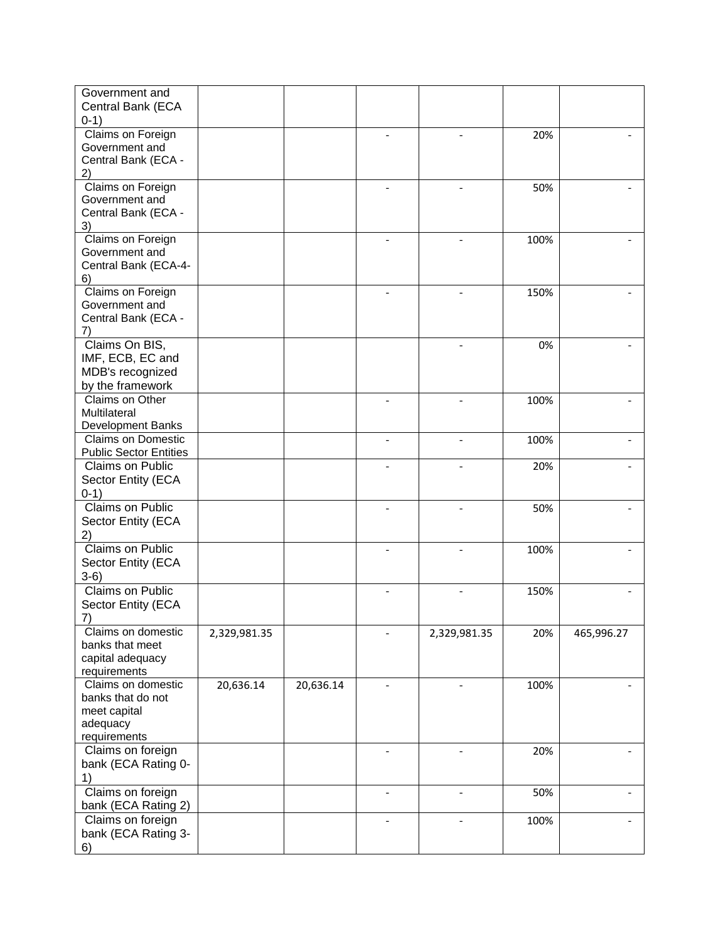| Government and<br>Central Bank (ECA<br>$0-1)$                                       |              |           |                |              |      |            |
|-------------------------------------------------------------------------------------|--------------|-----------|----------------|--------------|------|------------|
| Claims on Foreign<br>Government and<br>Central Bank (ECA -<br>2)                    |              |           |                |              | 20%  |            |
| Claims on Foreign<br>Government and<br>Central Bank (ECA -<br>3)                    |              |           |                |              | 50%  |            |
| Claims on Foreign<br>Government and<br>Central Bank (ECA-4-<br>6)                   |              |           |                |              | 100% |            |
| Claims on Foreign<br>Government and<br>Central Bank (ECA -<br>7)                    |              |           |                |              | 150% |            |
| Claims On BIS,<br>IMF, ECB, EC and<br>MDB's recognized<br>by the framework          |              |           |                |              | 0%   |            |
| Claims on Other<br>Multilateral<br>Development Banks                                |              |           |                |              | 100% |            |
| <b>Claims on Domestic</b><br><b>Public Sector Entities</b>                          |              |           |                |              | 100% |            |
| Claims on Public<br>Sector Entity (ECA<br>$0-1)$                                    |              |           |                |              | 20%  |            |
| Claims on Public<br>Sector Entity (ECA<br>2)                                        |              |           |                |              | 50%  |            |
| Claims on Public<br>Sector Entity (ECA<br>$3-6)$                                    |              |           |                |              | 100% |            |
| <b>Claims on Public</b><br>Sector Entity (ECA<br>7)                                 |              |           |                |              | 150% |            |
| Claims on domestic<br>banks that meet<br>capital adequacy<br>requirements           | 2,329,981.35 |           |                | 2,329,981.35 | 20%  | 465,996.27 |
| Claims on domestic<br>banks that do not<br>meet capital<br>adequacy<br>requirements | 20,636.14    | 20,636.14 |                |              | 100% |            |
| Claims on foreign<br>bank (ECA Rating 0-<br>1)                                      |              |           |                |              | 20%  |            |
| Claims on foreign<br>bank (ECA Rating 2)                                            |              |           | $\overline{a}$ |              | 50%  |            |
| Claims on foreign<br>bank (ECA Rating 3-<br>6)                                      |              |           |                |              | 100% |            |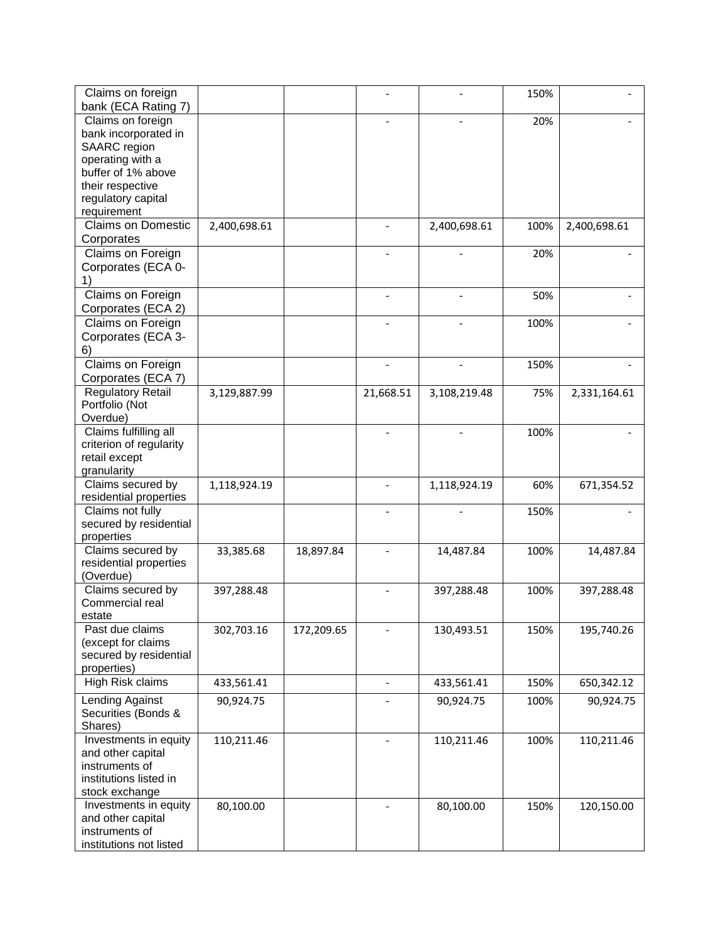| Claims on foreign                        |              |            |                          |              | 150% |              |
|------------------------------------------|--------------|------------|--------------------------|--------------|------|--------------|
| bank (ECA Rating 7)<br>Claims on foreign |              |            |                          |              |      |              |
| bank incorporated in                     |              |            |                          |              | 20%  |              |
| <b>SAARC</b> region                      |              |            |                          |              |      |              |
| operating with a                         |              |            |                          |              |      |              |
| buffer of 1% above                       |              |            |                          |              |      |              |
| their respective                         |              |            |                          |              |      |              |
| regulatory capital                       |              |            |                          |              |      |              |
| requirement                              |              |            |                          |              |      |              |
| Claims on Domestic                       |              |            | $\blacksquare$           |              |      |              |
|                                          | 2,400,698.61 |            |                          | 2,400,698.61 | 100% | 2,400,698.61 |
| Corporates                               |              |            |                          |              |      |              |
| Claims on Foreign                        |              |            | $\overline{\phantom{0}}$ |              | 20%  |              |
| Corporates (ECA 0-                       |              |            |                          |              |      |              |
| 1)                                       |              |            |                          |              |      |              |
| Claims on Foreign                        |              |            | $\overline{\phantom{a}}$ |              | 50%  |              |
| Corporates (ECA 2)                       |              |            |                          |              |      |              |
| Claims on Foreign                        |              |            |                          |              | 100% |              |
| Corporates (ECA 3-                       |              |            |                          |              |      |              |
| 6)                                       |              |            |                          |              |      |              |
| Claims on Foreign                        |              |            | $\overline{a}$           |              | 150% |              |
| Corporates (ECA 7)                       |              |            |                          |              |      |              |
| <b>Regulatory Retail</b>                 | 3,129,887.99 |            | 21,668.51                | 3,108,219.48 | 75%  | 2,331,164.61 |
| Portfolio (Not                           |              |            |                          |              |      |              |
| Overdue)                                 |              |            |                          |              |      |              |
| Claims fulfilling all                    |              |            |                          |              | 100% |              |
| criterion of regularity                  |              |            |                          |              |      |              |
| retail except                            |              |            |                          |              |      |              |
| granularity                              |              |            |                          |              |      |              |
| Claims secured by                        | 1,118,924.19 |            |                          | 1,118,924.19 | 60%  | 671,354.52   |
| residential properties                   |              |            |                          |              |      |              |
| Claims not fully                         |              |            |                          |              | 150% |              |
| secured by residential                   |              |            |                          |              |      |              |
| properties                               |              |            |                          |              |      |              |
| Claims secured by                        | 33,385.68    | 18,897.84  |                          | 14,487.84    | 100% | 14,487.84    |
| residential properties                   |              |            |                          |              |      |              |
| (Overdue)                                |              |            |                          |              |      |              |
| Claims secured by                        | 397,288.48   |            |                          | 397,288.48   | 100% | 397,288.48   |
| Commercial real                          |              |            |                          |              |      |              |
| estate                                   |              |            |                          |              |      |              |
| Past due claims                          | 302,703.16   | 172,209.65 |                          | 130,493.51   | 150% | 195,740.26   |
| (except for claims                       |              |            |                          |              |      |              |
| secured by residential                   |              |            |                          |              |      |              |
| properties)                              |              |            |                          |              |      |              |
| High Risk claims                         | 433,561.41   |            | $\overline{\phantom{a}}$ | 433,561.41   | 150% | 650,342.12   |
| Lending Against                          | 90,924.75    |            |                          | 90,924.75    | 100% | 90,924.75    |
| Securities (Bonds &                      |              |            |                          |              |      |              |
| Shares)                                  |              |            |                          |              |      |              |
| Investments in equity                    | 110,211.46   |            |                          | 110,211.46   | 100% | 110,211.46   |
| and other capital                        |              |            |                          |              |      |              |
| instruments of                           |              |            |                          |              |      |              |
| institutions listed in                   |              |            |                          |              |      |              |
| stock exchange                           |              |            |                          |              |      |              |
| Investments in equity                    | 80,100.00    |            |                          | 80,100.00    | 150% | 120,150.00   |
| and other capital                        |              |            |                          |              |      |              |
| instruments of                           |              |            |                          |              |      |              |
| institutions not listed                  |              |            |                          |              |      |              |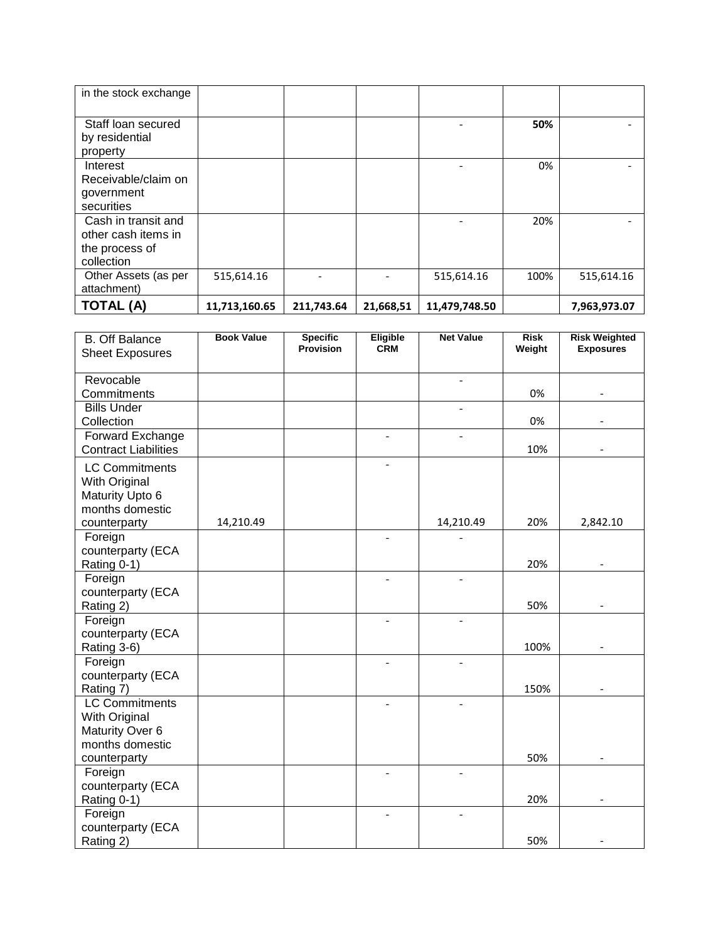| in the stock exchange               |               |            |           |               |      |              |
|-------------------------------------|---------------|------------|-----------|---------------|------|--------------|
| Staff loan secured                  |               |            |           |               | 50%  |              |
| by residential                      |               |            |           |               |      |              |
| property                            |               |            |           |               |      |              |
| Interest                            |               |            |           |               | 0%   |              |
| Receivable/claim on                 |               |            |           |               |      |              |
| government                          |               |            |           |               |      |              |
| securities                          |               |            |           |               |      |              |
| Cash in transit and                 |               |            |           |               | 20%  |              |
| other cash items in                 |               |            |           |               |      |              |
| the process of                      |               |            |           |               |      |              |
| collection                          |               |            |           |               |      |              |
| Other Assets (as per<br>attachment) | 515,614.16    |            |           | 515,614.16    | 100% | 515,614.16   |
| <b>TOTAL (A)</b>                    | 11,713,160.65 | 211,743.64 | 21,668,51 | 11,479,748.50 |      | 7,963,973.07 |

| <b>B.</b> Off Balance<br><b>Sheet Exposures</b> | <b>Book Value</b> | <b>Specific</b><br><b>Provision</b> | <b>Eligible</b><br><b>CRM</b> | <b>Net Value</b>         | <b>Risk</b><br>Weight | <b>Risk Weighted</b><br><b>Exposures</b> |
|-------------------------------------------------|-------------------|-------------------------------------|-------------------------------|--------------------------|-----------------------|------------------------------------------|
|                                                 |                   |                                     |                               |                          |                       |                                          |
| Revocable                                       |                   |                                     |                               | $\overline{\phantom{a}}$ |                       |                                          |
| Commitments                                     |                   |                                     |                               |                          | 0%                    |                                          |
| <b>Bills Under</b>                              |                   |                                     |                               | $\overline{\phantom{0}}$ |                       |                                          |
| Collection                                      |                   |                                     |                               |                          | 0%                    |                                          |
| Forward Exchange<br><b>Contract Liabilities</b> |                   |                                     | $\overline{\phantom{0}}$      | $\overline{a}$           | 10%                   |                                          |
|                                                 |                   |                                     | $\overline{\phantom{a}}$      |                          |                       |                                          |
| <b>LC Commitments</b>                           |                   |                                     |                               |                          |                       |                                          |
| With Original<br>Maturity Upto 6                |                   |                                     |                               |                          |                       |                                          |
| months domestic                                 |                   |                                     |                               |                          |                       |                                          |
| counterparty                                    | 14,210.49         |                                     |                               | 14,210.49                | 20%                   | 2,842.10                                 |
| Foreign                                         |                   |                                     |                               |                          |                       |                                          |
| counterparty (ECA                               |                   |                                     |                               |                          |                       |                                          |
| Rating 0-1)                                     |                   |                                     |                               |                          | 20%                   |                                          |
| Foreign                                         |                   |                                     |                               |                          |                       |                                          |
| counterparty (ECA                               |                   |                                     |                               |                          |                       |                                          |
| Rating 2)                                       |                   |                                     |                               |                          | 50%                   |                                          |
| Foreign                                         |                   |                                     |                               |                          |                       |                                          |
| counterparty (ECA                               |                   |                                     |                               |                          |                       |                                          |
| Rating 3-6)                                     |                   |                                     |                               |                          | 100%                  |                                          |
| Foreign<br>counterparty (ECA                    |                   |                                     |                               |                          |                       |                                          |
| Rating 7)                                       |                   |                                     |                               |                          | 150%                  |                                          |
| <b>LC Commitments</b>                           |                   |                                     |                               |                          |                       |                                          |
| With Original                                   |                   |                                     |                               |                          |                       |                                          |
| Maturity Over 6                                 |                   |                                     |                               |                          |                       |                                          |
| months domestic                                 |                   |                                     |                               |                          |                       |                                          |
| counterparty                                    |                   |                                     |                               |                          | 50%                   |                                          |
| Foreign                                         |                   |                                     |                               |                          |                       |                                          |
| counterparty (ECA                               |                   |                                     |                               |                          |                       |                                          |
| Rating 0-1)                                     |                   |                                     |                               |                          | 20%                   |                                          |
| Foreign                                         |                   |                                     | $\overline{a}$                |                          |                       |                                          |
| counterparty (ECA                               |                   |                                     |                               |                          |                       |                                          |
| Rating 2)                                       |                   |                                     |                               |                          | 50%                   |                                          |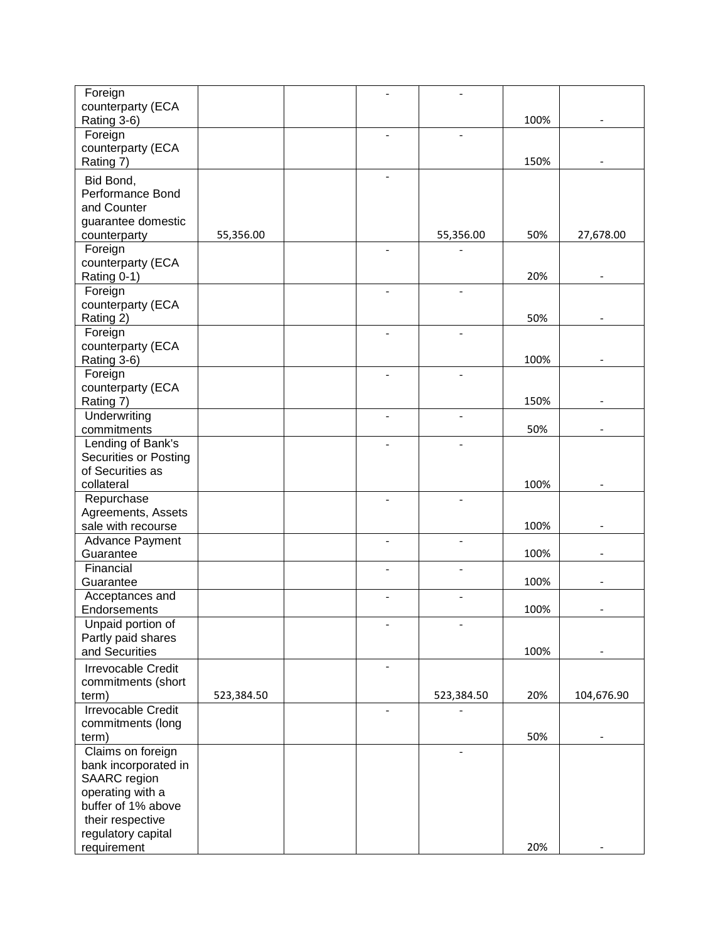| Foreign                                   |            |                          |                          |      |                          |
|-------------------------------------------|------------|--------------------------|--------------------------|------|--------------------------|
| counterparty (ECA<br>Rating 3-6)          |            |                          |                          | 100% |                          |
| Foreign                                   |            |                          |                          |      |                          |
| counterparty (ECA                         |            |                          |                          |      |                          |
| Rating 7)                                 |            |                          |                          | 150% |                          |
| Bid Bond,                                 |            |                          |                          |      |                          |
| Performance Bond<br>and Counter           |            |                          |                          |      |                          |
| guarantee domestic                        |            |                          |                          |      |                          |
| counterparty                              | 55,356.00  |                          | 55,356.00                | 50%  | 27,678.00                |
| Foreign                                   |            |                          |                          |      |                          |
| counterparty (ECA                         |            |                          |                          |      |                          |
| Rating 0-1)                               |            |                          |                          | 20%  |                          |
| Foreign                                   |            |                          |                          |      |                          |
| counterparty (ECA<br>Rating 2)            |            |                          |                          | 50%  |                          |
| Foreign                                   |            |                          |                          |      |                          |
| counterparty (ECA                         |            |                          |                          |      |                          |
| Rating 3-6)                               |            |                          |                          | 100% |                          |
| Foreign                                   |            |                          |                          |      |                          |
| counterparty (ECA                         |            |                          |                          |      |                          |
| Rating 7)                                 |            |                          |                          | 150% |                          |
| Underwriting<br>commitments               |            | $\overline{\phantom{a}}$ | $\overline{\phantom{a}}$ | 50%  |                          |
| Lending of Bank's                         |            |                          |                          |      |                          |
| <b>Securities or Posting</b>              |            |                          |                          |      |                          |
| of Securities as                          |            |                          |                          |      |                          |
| collateral                                |            |                          |                          | 100% |                          |
| Repurchase                                |            |                          |                          |      |                          |
| Agreements, Assets                        |            |                          |                          |      |                          |
| sale with recourse<br>Advance Payment     |            | $\overline{a}$           |                          | 100% |                          |
| Guarantee                                 |            |                          |                          | 100% |                          |
| Financial                                 |            |                          |                          |      |                          |
| Guarantee                                 |            |                          |                          | 100% |                          |
| Acceptances and                           |            |                          |                          |      |                          |
| Endorsements                              |            |                          |                          | 100% |                          |
| Unpaid portion of                         |            |                          |                          |      |                          |
| Partly paid shares<br>and Securities      |            |                          |                          | 100% |                          |
| <b>Irrevocable Credit</b>                 |            | $\overline{a}$           |                          |      |                          |
| commitments (short                        |            |                          |                          |      |                          |
| term)                                     | 523,384.50 |                          | 523,384.50               | 20%  | 104,676.90               |
| <b>Irrevocable Credit</b>                 |            | $\overline{a}$           |                          |      |                          |
| commitments (long                         |            |                          |                          |      |                          |
| term)                                     |            |                          |                          | 50%  | $\overline{\phantom{0}}$ |
| Claims on foreign<br>bank incorporated in |            |                          | $\blacksquare$           |      |                          |
| SAARC region                              |            |                          |                          |      |                          |
| operating with a                          |            |                          |                          |      |                          |
| buffer of 1% above                        |            |                          |                          |      |                          |
| their respective                          |            |                          |                          |      |                          |
| regulatory capital                        |            |                          |                          |      |                          |
| requirement                               |            |                          |                          | 20%  |                          |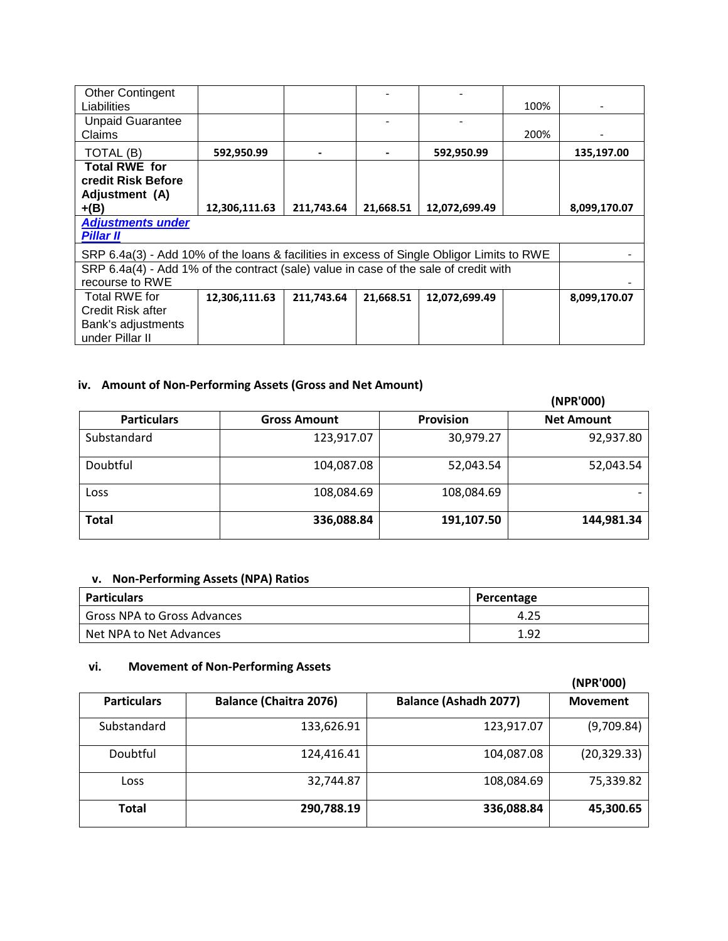| <b>Other Contingent</b>                                                                   |               |            |           |               |      |              |
|-------------------------------------------------------------------------------------------|---------------|------------|-----------|---------------|------|--------------|
| Liabilities                                                                               |               |            |           |               | 100% |              |
| <b>Unpaid Guarantee</b>                                                                   |               |            |           |               |      |              |
| Claims                                                                                    |               |            |           |               | 200% |              |
| TOTAL (B)                                                                                 | 592,950.99    |            |           | 592,950.99    |      | 135,197.00   |
| <b>Total RWE for</b>                                                                      |               |            |           |               |      |              |
| credit Risk Before                                                                        |               |            |           |               |      |              |
| Adjustment (A)                                                                            |               |            |           |               |      |              |
| $+(B)$                                                                                    | 12,306,111.63 | 211,743.64 | 21,668.51 | 12,072,699.49 |      | 8,099,170.07 |
| <b>Adjustments under</b>                                                                  |               |            |           |               |      |              |
| <b>Pillar II</b>                                                                          |               |            |           |               |      |              |
| SRP 6.4a(3) - Add 10% of the loans & facilities in excess of Single Obligor Limits to RWE |               |            |           |               |      |              |
| SRP 6.4a(4) - Add 1% of the contract (sale) value in case of the sale of credit with      |               |            |           |               |      |              |
| recourse to RWE                                                                           |               |            |           |               |      |              |
| Total RWE for                                                                             | 12,306,111.63 | 211,743.64 | 21,668.51 | 12,072,699.49 |      | 8,099,170.07 |
| Credit Risk after                                                                         |               |            |           |               |      |              |
| Bank's adjustments                                                                        |               |            |           |               |      |              |
| under Pillar II                                                                           |               |            |           |               |      |              |

# **iv. Amount of Non-Performing Assets (Gross and Net Amount)**

|                    |                     |                  | (NPR'000)         |
|--------------------|---------------------|------------------|-------------------|
| <b>Particulars</b> | <b>Gross Amount</b> | <b>Provision</b> | <b>Net Amount</b> |
| Substandard        | 123,917.07          | 30,979.27        | 92,937.80         |
| Doubtful           | 104,087.08          | 52,043.54        | 52,043.54         |
| Loss               | 108,084.69          | 108,084.69       |                   |
| <b>Total</b>       | 336,088.84          | 191,107.50       | 144,981.34        |

# **v. Non-Performing Assets (NPA) Ratios**

| <b>Particulars</b>          | Percentage |
|-----------------------------|------------|
| Gross NPA to Gross Advances | 4.25       |
| Net NPA to Net Advances     | 1.92       |

## **vi. Movement of Non-Performing Assets**

|                    |                               |                              | (NPR'000)       |
|--------------------|-------------------------------|------------------------------|-----------------|
| <b>Particulars</b> | <b>Balance (Chaitra 2076)</b> | <b>Balance (Ashadh 2077)</b> | <b>Movement</b> |
| Substandard        | 133,626.91                    | 123,917.07                   | (9,709.84)      |
| Doubtful           | 124,416.41                    | 104,087.08                   | (20, 329.33)    |
| <b>Loss</b>        | 32,744.87                     | 108,084.69                   | 75,339.82       |
| <b>Total</b>       | 290,788.19                    | 336,088.84                   | 45,300.65       |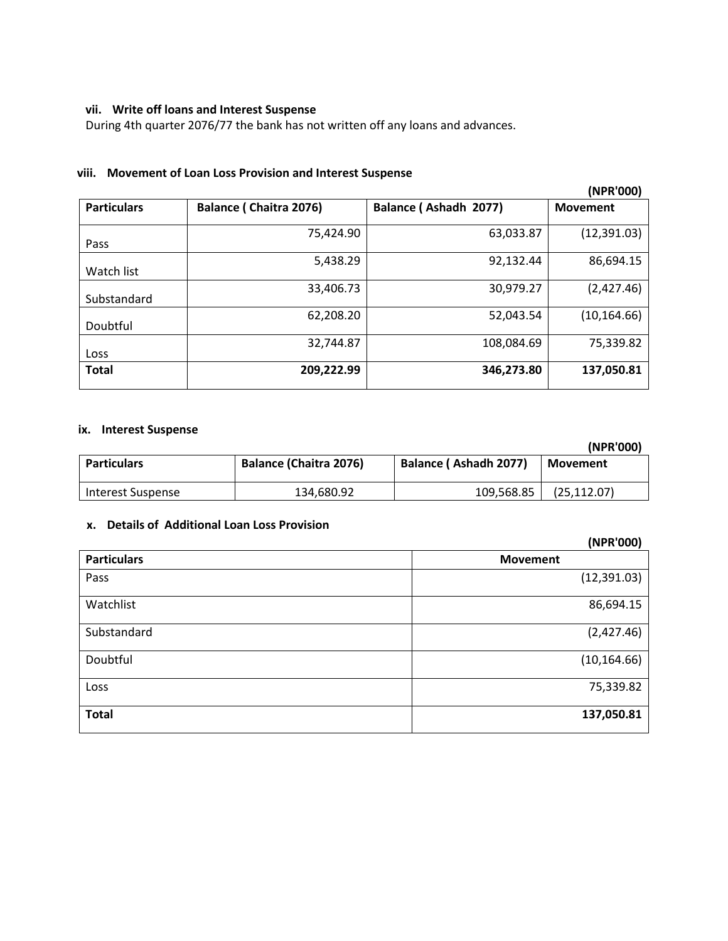## **vii. Write off loans and Interest Suspense**

During 4th quarter 2076/77 the bank has not written off any loans and advances.

#### **viii. Movement of Loan Loss Provision and Interest Suspense**

|                    |                               |                       | (NPR'000)       |
|--------------------|-------------------------------|-----------------------|-----------------|
| <b>Particulars</b> | <b>Balance (Chaitra 2076)</b> | Balance (Ashadh 2077) | <b>Movement</b> |
| Pass               | 75,424.90                     | 63,033.87             | (12,391.03)     |
| Watch list         | 5,438.29                      | 92,132.44             | 86,694.15       |
| Substandard        | 33,406.73                     | 30,979.27             | (2,427.46)      |
| Doubtful           | 62,208.20                     | 52,043.54             | (10, 164.66)    |
| Loss               | 32,744.87                     | 108,084.69            | 75,339.82       |
| <b>Total</b>       | 209,222.99                    | 346,273.80            | 137,050.81      |

#### **ix. Interest Suspense**

|                    |                               |                              | (NPR'000)    |
|--------------------|-------------------------------|------------------------------|--------------|
| <b>Particulars</b> | <b>Balance (Chaitra 2076)</b> | <b>Balance (Ashadh 2077)</b> | Movement     |
| Interest Suspense  | 134,680.92                    | 109,568.85                   | (25, 112.07) |

## **x. Details of Additional Loan Loss Provision**

|                    | (NPR'000)       |
|--------------------|-----------------|
| <b>Particulars</b> | <b>Movement</b> |
| Pass               | (12, 391.03)    |
| Watchlist          | 86,694.15       |
| Substandard        | (2,427.46)      |
| Doubtful           | (10, 164.66)    |
| Loss               | 75,339.82       |
| <b>Total</b>       | 137,050.81      |